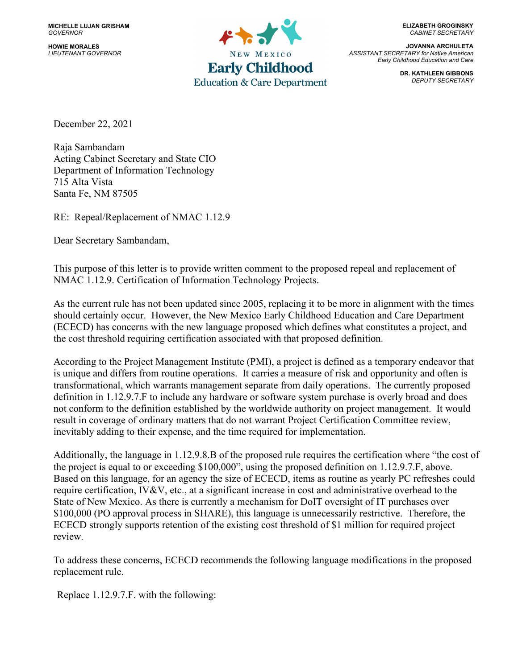**HOWIE MORALES** *LIEUTENANT GOVERNOR*



**ELIZABETH GROGINSKY** *CABINET SECRETARY*

**JOVANNA ARCHULETA** *ASSISTANT SECRETARY for Native American Early Childhood Education and Care*

> **DR. KATHLEEN GIBBONS** *DEPUTY SECRETARY*

December 22, 2021

Raja Sambandam Acting Cabinet Secretary and State CIO Department of Information Technology 715 Alta Vista Santa Fe, NM 87505

RE: Repeal/Replacement of NMAC 1.12.9

Dear Secretary Sambandam,

This purpose of this letter is to provide written comment to the proposed repeal and replacement of NMAC 1.12.9. Certification of Information Technology Projects.

As the current rule has not been updated since 2005, replacing it to be more in alignment with the times should certainly occur. However, the New Mexico Early Childhood Education and Care Department (ECECD) has concerns with the new language proposed which defines what constitutes a project, and the cost threshold requiring certification associated with that proposed definition.

According to the Project Management Institute (PMI), a project is defined as a temporary endeavor that is unique and differs from routine operations. It carries a measure of risk and opportunity and often is transformational, which warrants management separate from daily operations. The currently proposed definition in 1.12.9.7.F to include any hardware or software system purchase is overly broad and does not conform to the definition established by the worldwide authority on project management. It would result in coverage of ordinary matters that do not warrant Project Certification Committee review, inevitably adding to their expense, and the time required for implementation.

Additionally, the language in 1.12.9.8.B of the proposed rule requires the certification where "the cost of the project is equal to or exceeding \$100,000", using the proposed definition on 1.12.9.7.F, above. Based on this language, for an agency the size of ECECD, items as routine as yearly PC refreshes could require certification, IV&V, etc., at a significant increase in cost and administrative overhead to the State of New Mexico. As there is currently a mechanism for DoIT oversight of IT purchases over \$100,000 (PO approval process in SHARE), this language is unnecessarily restrictive. Therefore, the ECECD strongly supports retention of the existing cost threshold of \$1 million for required project review.

To address these concerns, ECECD recommends the following language modifications in the proposed replacement rule.

Replace 1.12.9.7.F. with the following: